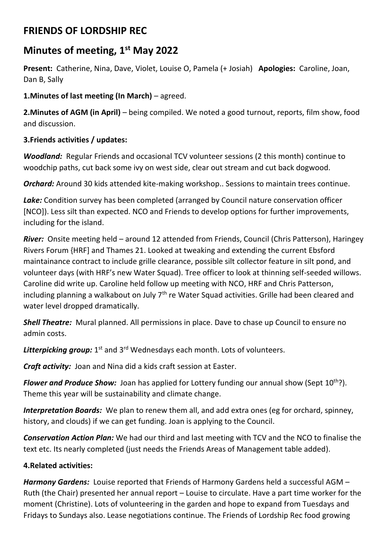# **FRIENDS OF LORDSHIP REC**

## **Minutes of meeting, 1st May 2022**

**Present:** Catherine, Nina, Dave, Violet, Louise O, Pamela (+ Josiah) **Apologies:** Caroline, Joan, Dan B, Sally

**1.Minutes of last meeting (In March)** – agreed.

**2.Minutes of AGM (in April)** – being compiled. We noted a good turnout, reports, film show, food and discussion.

### **3.Friends activities / updates:**

*Woodland:* Regular Friends and occasional TCV volunteer sessions (2 this month) continue to woodchip paths, cut back some ivy on west side, clear out stream and cut back dogwood.

**Orchard:** Around 30 kids attended kite-making workshop.. Sessions to maintain trees continue.

*Lake:* Condition survey has been completed (arranged by Council nature conservation officer [NCO]). Less silt than expected. NCO and Friends to develop options for further improvements, including for the island.

*River:* Onsite meeting held – around 12 attended from Friends, Council (Chris Patterson), Haringey Rivers Forum {HRF] and Thames 21. Looked at tweaking and extending the current Ebsford maintainance contract to include grille clearance, possible silt collector feature in silt pond, and volunteer days (with HRF's new Water Squad). Tree officer to look at thinning self-seeded willows. Caroline did write up. Caroline held follow up meeting with NCO, HRF and Chris Patterson, including planning a walkabout on July  $7<sup>th</sup>$  re Water Squad activities. Grille had been cleared and water level dropped dramatically.

**Shell Theatre:** Mural planned. All permissions in place. Dave to chase up Council to ensure no admin costs.

Litterpicking group: 1<sup>st</sup> and 3<sup>rd</sup> Wednesdays each month. Lots of volunteers.

*Craft activity:* Joan and Nina did a kids craft session at Easter.

*Flower and Produce Show:* Joan has applied for Lottery funding our annual show (Sept 10<sup>th</sup>?). Theme this year will be sustainability and climate change.

*Interpretation Boards:* We plan to renew them all, and add extra ones (eg for orchard, spinney, history, and clouds) if we can get funding. Joan is applying to the Council.

*Conservation Action Plan:* We had our third and last meeting with TCV and the NCO to finalise the text etc. Its nearly completed (just needs the Friends Areas of Management table added).

### **4.Related activities:**

*Harmony Gardens:* Louise reported that Friends of Harmony Gardens held a successful AGM – Ruth (the Chair) presented her annual report – Louise to circulate. Have a part time worker for the moment (Christine). Lots of volunteering in the garden and hope to expand from Tuesdays and Fridays to Sundays also. Lease negotiations continue. The Friends of Lordship Rec food growing